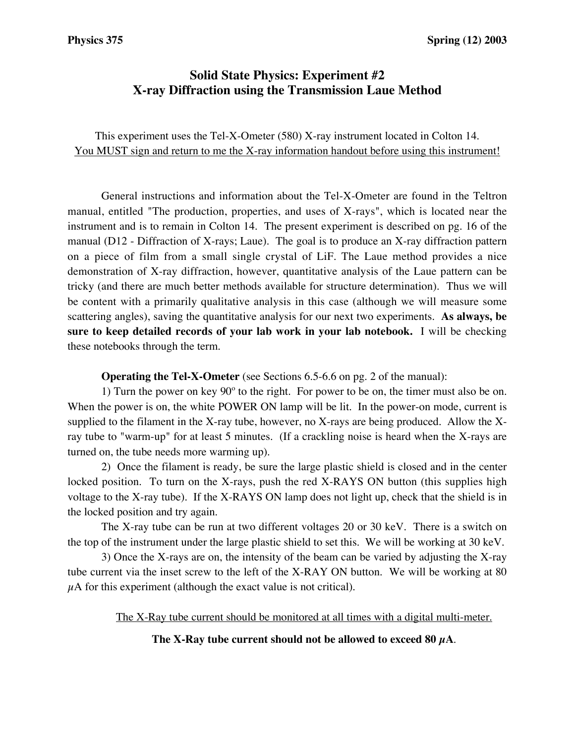# **Solid State Physics: Experiment #2 X-ray Diffraction using the Transmission Laue Method**

This experiment uses the Tel-X-Ometer (580) X-ray instrument located in Colton 14. You MUST sign and return to me the X-ray information handout before using this instrument!

General instructions and information about the Tel-X-Ometer are found in the Teltron manual, entitled "The production, properties, and uses of X-rays", which is located near the instrument and is to remain in Colton 14. The present experiment is described on pg. 16 of the manual (D12 - Diffraction of X-rays; Laue). The goal is to produce an X-ray diffraction pattern on a piece of film from a small single crystal of LiF. The Laue method provides a nice demonstration of X-ray diffraction, however, quantitative analysis of the Laue pattern can be tricky (and there are much better methods available for structure determination). Thus we will be content with a primarily qualitative analysis in this case (although we will measure some scattering angles), saving the quantitative analysis for our next two experiments. **As always, be sure to keep detailed records of your lab work in your lab notebook.** I will be checking these notebooks through the term.

**Operating the Tel-X-Ometer** (see Sections 6.5-6.6 on pg. 2 of the manual):

1) Turn the power on key 90º to the right. For power to be on, the timer must also be on. When the power is on, the white POWER ON lamp will be lit. In the power-on mode, current is supplied to the filament in the X-ray tube, however, no X-rays are being produced. Allow the Xray tube to "warm-up" for at least 5 minutes. (If a crackling noise is heard when the X-rays are turned on, the tube needs more warming up).

2) Once the filament is ready, be sure the large plastic shield is closed and in the center locked position. To turn on the X-rays, push the red X-RAYS ON button (this supplies high voltage to the X-ray tube). If the X-RAYS ON lamp does not light up, check that the shield is in the locked position and try again.

The X-ray tube can be run at two different voltages 20 or 30 keV. There is a switch on the top of the instrument under the large plastic shield to set this. We will be working at 30 keV.

3) Once the X-rays are on, the intensity of the beam can be varied by adjusting the X-ray tube current via the inset screw to the left of the X-RAY ON button. We will be working at 80  $\mu$ A for this experiment (although the exact value is not critical).

The X-Ray tube current should be monitored at all times with a digital multi-meter.

## **The X-Ray tube current should not be allowed to exceed 80 µA**.